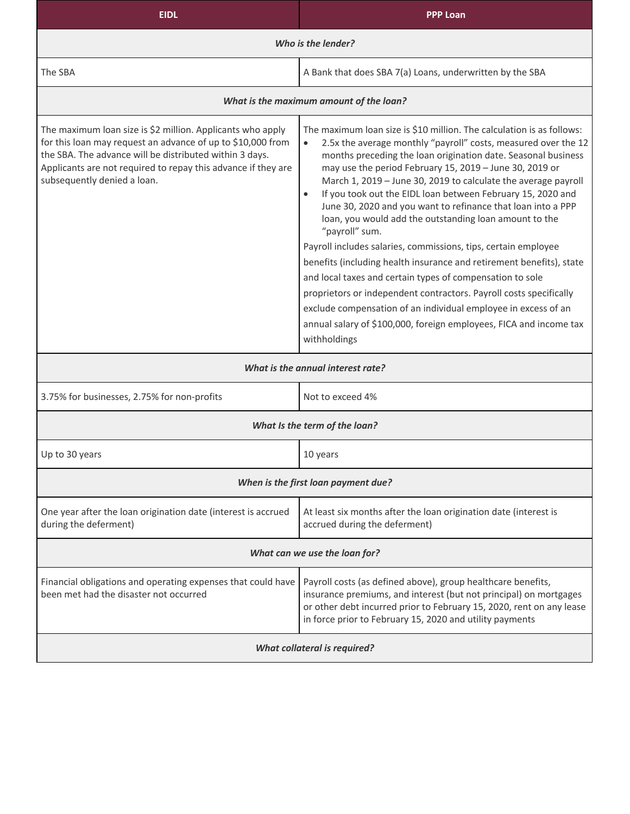| <b>EIDL</b>                                                                                                                                                                                                                                                                          | <b>PPP Loan</b>                                                                                                                                                                                                                                                                                                                                                                                                                                                                                                                                                                                                                                                                                                                                                                                                                                                                                                                                                                                                 |  |
|--------------------------------------------------------------------------------------------------------------------------------------------------------------------------------------------------------------------------------------------------------------------------------------|-----------------------------------------------------------------------------------------------------------------------------------------------------------------------------------------------------------------------------------------------------------------------------------------------------------------------------------------------------------------------------------------------------------------------------------------------------------------------------------------------------------------------------------------------------------------------------------------------------------------------------------------------------------------------------------------------------------------------------------------------------------------------------------------------------------------------------------------------------------------------------------------------------------------------------------------------------------------------------------------------------------------|--|
| Who is the lender?                                                                                                                                                                                                                                                                   |                                                                                                                                                                                                                                                                                                                                                                                                                                                                                                                                                                                                                                                                                                                                                                                                                                                                                                                                                                                                                 |  |
| The SBA                                                                                                                                                                                                                                                                              | A Bank that does SBA 7(a) Loans, underwritten by the SBA                                                                                                                                                                                                                                                                                                                                                                                                                                                                                                                                                                                                                                                                                                                                                                                                                                                                                                                                                        |  |
| What is the maximum amount of the loan?                                                                                                                                                                                                                                              |                                                                                                                                                                                                                                                                                                                                                                                                                                                                                                                                                                                                                                                                                                                                                                                                                                                                                                                                                                                                                 |  |
| The maximum loan size is \$2 million. Applicants who apply<br>for this loan may request an advance of up to \$10,000 from<br>the SBA. The advance will be distributed within 3 days.<br>Applicants are not required to repay this advance if they are<br>subsequently denied a loan. | The maximum loan size is \$10 million. The calculation is as follows:<br>2.5x the average monthly "payroll" costs, measured over the 12<br>$\bullet$<br>months preceding the loan origination date. Seasonal business<br>may use the period February 15, 2019 - June 30, 2019 or<br>March 1, 2019 - June 30, 2019 to calculate the average payroll<br>If you took out the EIDL loan between February 15, 2020 and<br>$\bullet$<br>June 30, 2020 and you want to refinance that loan into a PPP<br>loan, you would add the outstanding loan amount to the<br>"payroll" sum.<br>Payroll includes salaries, commissions, tips, certain employee<br>benefits (including health insurance and retirement benefits), state<br>and local taxes and certain types of compensation to sole<br>proprietors or independent contractors. Payroll costs specifically<br>exclude compensation of an individual employee in excess of an<br>annual salary of \$100,000, foreign employees, FICA and income tax<br>withholdings |  |
| What is the annual interest rate?                                                                                                                                                                                                                                                    |                                                                                                                                                                                                                                                                                                                                                                                                                                                                                                                                                                                                                                                                                                                                                                                                                                                                                                                                                                                                                 |  |
| 3.75% for businesses, 2.75% for non-profits                                                                                                                                                                                                                                          | Not to exceed 4%                                                                                                                                                                                                                                                                                                                                                                                                                                                                                                                                                                                                                                                                                                                                                                                                                                                                                                                                                                                                |  |
| What Is the term of the loan?                                                                                                                                                                                                                                                        |                                                                                                                                                                                                                                                                                                                                                                                                                                                                                                                                                                                                                                                                                                                                                                                                                                                                                                                                                                                                                 |  |
| Up to 30 years                                                                                                                                                                                                                                                                       | 10 years                                                                                                                                                                                                                                                                                                                                                                                                                                                                                                                                                                                                                                                                                                                                                                                                                                                                                                                                                                                                        |  |
| When is the first loan payment due?                                                                                                                                                                                                                                                  |                                                                                                                                                                                                                                                                                                                                                                                                                                                                                                                                                                                                                                                                                                                                                                                                                                                                                                                                                                                                                 |  |
| One year after the loan origination date (interest is accrued<br>during the deferment)                                                                                                                                                                                               | At least six months after the loan origination date (interest is<br>accrued during the deferment)                                                                                                                                                                                                                                                                                                                                                                                                                                                                                                                                                                                                                                                                                                                                                                                                                                                                                                               |  |
| What can we use the loan for?                                                                                                                                                                                                                                                        |                                                                                                                                                                                                                                                                                                                                                                                                                                                                                                                                                                                                                                                                                                                                                                                                                                                                                                                                                                                                                 |  |
| Financial obligations and operating expenses that could have<br>been met had the disaster not occurred                                                                                                                                                                               | Payroll costs (as defined above), group healthcare benefits,<br>insurance premiums, and interest (but not principal) on mortgages<br>or other debt incurred prior to February 15, 2020, rent on any lease<br>in force prior to February 15, 2020 and utility payments                                                                                                                                                                                                                                                                                                                                                                                                                                                                                                                                                                                                                                                                                                                                           |  |
| <b>What collateral is required?</b>                                                                                                                                                                                                                                                  |                                                                                                                                                                                                                                                                                                                                                                                                                                                                                                                                                                                                                                                                                                                                                                                                                                                                                                                                                                                                                 |  |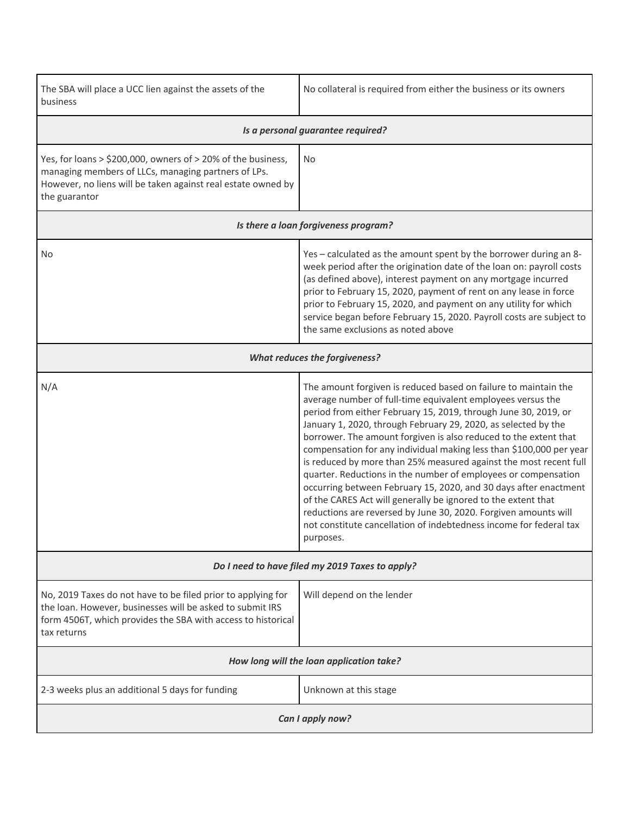| The SBA will place a UCC lien against the assets of the<br>business                                                                                                                                      | No collateral is required from either the business or its owners                                                                                                                                                                                                                                                                                                                                                                                                                                                                                                                                                                                                                                                                                                                                                                                 |  |
|----------------------------------------------------------------------------------------------------------------------------------------------------------------------------------------------------------|--------------------------------------------------------------------------------------------------------------------------------------------------------------------------------------------------------------------------------------------------------------------------------------------------------------------------------------------------------------------------------------------------------------------------------------------------------------------------------------------------------------------------------------------------------------------------------------------------------------------------------------------------------------------------------------------------------------------------------------------------------------------------------------------------------------------------------------------------|--|
| Is a personal guarantee required?                                                                                                                                                                        |                                                                                                                                                                                                                                                                                                                                                                                                                                                                                                                                                                                                                                                                                                                                                                                                                                                  |  |
| Yes, for loans > \$200,000, owners of > 20% of the business,<br>managing members of LLCs, managing partners of LPs.<br>However, no liens will be taken against real estate owned by<br>the guarantor     | No                                                                                                                                                                                                                                                                                                                                                                                                                                                                                                                                                                                                                                                                                                                                                                                                                                               |  |
| Is there a loan forgiveness program?                                                                                                                                                                     |                                                                                                                                                                                                                                                                                                                                                                                                                                                                                                                                                                                                                                                                                                                                                                                                                                                  |  |
| No                                                                                                                                                                                                       | Yes - calculated as the amount spent by the borrower during an 8-<br>week period after the origination date of the loan on: payroll costs<br>(as defined above), interest payment on any mortgage incurred<br>prior to February 15, 2020, payment of rent on any lease in force<br>prior to February 15, 2020, and payment on any utility for which<br>service began before February 15, 2020. Payroll costs are subject to<br>the same exclusions as noted above                                                                                                                                                                                                                                                                                                                                                                                |  |
| <b>What reduces the forgiveness?</b>                                                                                                                                                                     |                                                                                                                                                                                                                                                                                                                                                                                                                                                                                                                                                                                                                                                                                                                                                                                                                                                  |  |
| N/A                                                                                                                                                                                                      | The amount forgiven is reduced based on failure to maintain the<br>average number of full-time equivalent employees versus the<br>period from either February 15, 2019, through June 30, 2019, or<br>January 1, 2020, through February 29, 2020, as selected by the<br>borrower. The amount forgiven is also reduced to the extent that<br>compensation for any individual making less than \$100,000 per year<br>is reduced by more than 25% measured against the most recent full<br>quarter. Reductions in the number of employees or compensation<br>occurring between February 15, 2020, and 30 days after enactment<br>of the CARES Act will generally be ignored to the extent that<br>reductions are reversed by June 30, 2020. Forgiven amounts will<br>not constitute cancellation of indebtedness income for federal tax<br>purposes. |  |
| Do I need to have filed my 2019 Taxes to apply?                                                                                                                                                          |                                                                                                                                                                                                                                                                                                                                                                                                                                                                                                                                                                                                                                                                                                                                                                                                                                                  |  |
| No, 2019 Taxes do not have to be filed prior to applying for<br>the loan. However, businesses will be asked to submit IRS<br>form 4506T, which provides the SBA with access to historical<br>tax returns | Will depend on the lender                                                                                                                                                                                                                                                                                                                                                                                                                                                                                                                                                                                                                                                                                                                                                                                                                        |  |
| How long will the loan application take?                                                                                                                                                                 |                                                                                                                                                                                                                                                                                                                                                                                                                                                                                                                                                                                                                                                                                                                                                                                                                                                  |  |
| 2-3 weeks plus an additional 5 days for funding                                                                                                                                                          | Unknown at this stage                                                                                                                                                                                                                                                                                                                                                                                                                                                                                                                                                                                                                                                                                                                                                                                                                            |  |
| Can I apply now?                                                                                                                                                                                         |                                                                                                                                                                                                                                                                                                                                                                                                                                                                                                                                                                                                                                                                                                                                                                                                                                                  |  |